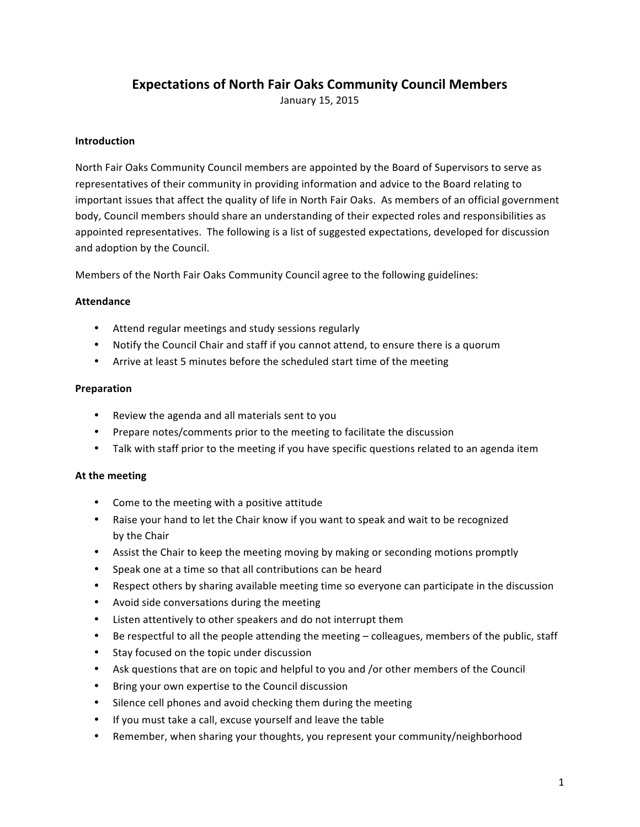# **Expectations of North Fair Oaks Community Council Members**

January 15, 2015

## **Introduction**

North Fair Oaks Community Council members are appointed by the Board of Supervisors to serve as representatives of their community in providing information and advice to the Board relating to important issues that affect the quality of life in North Fair Oaks. As members of an official government body, Council members should share an understanding of their expected roles and responsibilities as appointed representatives. The following is a list of suggested expectations, developed for discussion and adoption by the Council.

Members of the North Fair Oaks Community Council agree to the following guidelines:

#### **Attendance**

- Attend regular meetings and study sessions regularly
- Notify the Council Chair and staff if you cannot attend, to ensure there is a quorum
- Arrive at least 5 minutes before the scheduled start time of the meeting

#### **Preparation**

- Review the agenda and all materials sent to you
- Prepare notes/comments prior to the meeting to facilitate the discussion
- Talk with staff prior to the meeting if you have specific questions related to an agenda item

#### **At the meeting**

- Come to the meeting with a positive attitude
- Raise your hand to let the Chair know if you want to speak and wait to be recognized by the Chair
- Assist the Chair to keep the meeting moving by making or seconding motions promptly
- Speak one at a time so that all contributions can be heard
- Respect others by sharing available meeting time so everyone can participate in the discussion
- Avoid side conversations during the meeting
- Listen attentively to other speakers and do not interrupt them
- Be respectful to all the people attending the meeting colleagues, members of the public, staff
- Stay focused on the topic under discussion
- Ask questions that are on topic and helpful to you and /or other members of the Council
- Bring your own expertise to the Council discussion
- Silence cell phones and avoid checking them during the meeting
- If you must take a call, excuse yourself and leave the table
- Remember, when sharing your thoughts, you represent your community/neighborhood